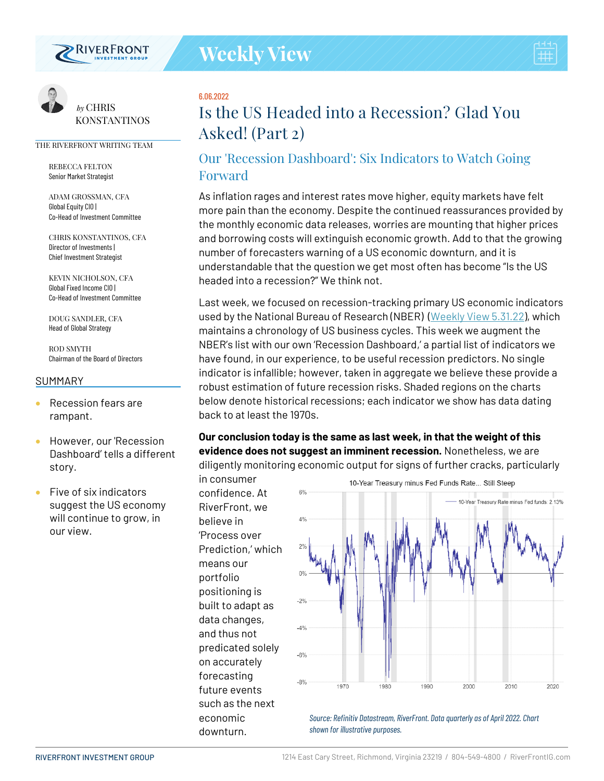

# 6.06.2022

# **Is the US Headed into a Recession? Glad You Asked! (Part 2)**

# Our 'Recession Dashboard': Six Indicators to Watch Going Forward

As inflation rages and interest rates move higher, equity markets have felt more pain than the economy. Despite the continued reassurances provided by the monthly economic data releases, worries are mounting that higher prices and borrowing costs will extinguish economic growth. Add to that the growing number of forecasters warning of a US economic downturn, and it is understandable that the question we get most often has become "Is the US headed into a recession?" We think not.

Last week, we focused on recession-tracking primary US economic indicators used by the National Bureau of Research (NBER) [\(Weekly View 5.31.22\)](https://www.riverfrontig.com/insights/is-the-us-headed-into-a-recession-glad-you-asked-part-1/), which maintains a chronology of US business cycles. This week we augment the NBER's list with our own 'Recession Dashboard,' a partial list of indicators we have found, in our experience, to be useful recession predictors. No single indicator is infallible; however, taken in aggregate we believe these provide a robust estimation of future recession risks. Shaded regions on the charts below denote historical recessions; each indicator we show has data dating back to at least the 1970s.

# **Our conclusion today is the same as last week, in that the weight of this evidence does not suggest an imminent recession.** Nonetheless, we are diligently monitoring economic output for signs of further cracks, particularly

in consumer confidence. At RiverFront, we believe in 'Process over Prediction,' which means our portfolio positioning is built to adapt as data changes, and thus not predicated solely on accurately forecasting future events such as the next economic downturn.



*Source: Refinitiv Datastream, RiverFront. Data quarterly as of April 2022. Chart shown for illustrative purposes.*



*by* CHRIS **KONSTANTINOS** 

#### THE RIVERFRONT WRITING TEAM

REBECCA FELTON Senior Market Strategist

ADAM GROSSMAN, CFA Global Equity CIO | Co-Head of Investment Committee

CHRIS KONSTANTINOS, CFA Director of Investments | Chief Investment Strategist

KEVIN NICHOLSON, CFA Global Fixed Income CIO | Co-Head of Investment Committee

DOUG SANDLER, CFA Head of Global Strategy

ROD SMYTH Chairman of the Board of Directors

#### **SUMMARY**

- Recession fears are rampant.
- However, our 'Recession Dashboard' tells a different story.
- Five of six indicators suggest the US economy will continue to grow, in our view.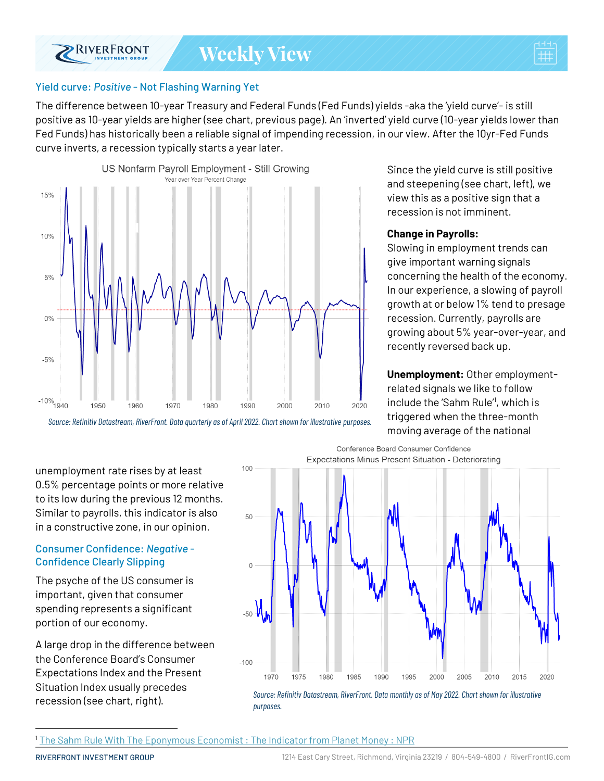



### Yield curve: *Positive* - Not Flashing Warning Yet

The difference between 10-year Treasury and Federal Funds (Fed Funds) yields -aka the 'yield curve'- is still positive as 10-year yields are higher (see chart, previous page). An 'inverted' yield curve (10-year yields lower than Fed Funds) has historically been a reliable signal of impending recession, in our view. After the 10yr-Fed Funds curve inverts, a recession typically starts a year later.



*Source: Refinitiv Datastream, RiverFront. Data quarterly as of April2022. Chart shown for illustrative purposes.*

Since the yield curve is still positive and steepening (see chart, left), we view this as a positive sign that a recession is not imminent.

#### **Change in Payrolls:**

Slowing in employment trends can give important warning signals concerning the health of the economy. In our experience, a slowing of payroll growth at or below 1% tend to presage recession. Currently, payrolls are growing about 5% year-over-year, and recently reversed back up.

**Unemployment:** Other employmentrelated signals we like to follow include the 'Sahm Rule'<sup>1</sup> , which is triggered when the three-month moving average of the national

unemployment rate rises by at least 0.5% percentage points or more relative to its low during the previous 12 months. Similar to payrolls, this indicator is also in a constructive zone, in our opinion.

#### Consumer Confidence: *Negative* - Confidence Clearly Slipping

The psyche of the US consumer is important, given that consumer spending represents a significant portion of our economy.

A large drop in the difference between the Conference Board's Consumer Expectations Index and the Present Situation Index usually precedes recession (see chart, right).



<sup>1</sup> [The Sahm Rule With The Eponymous Economist : The Indicator from Planet Money : NPR](https://www.npr.org/2019/11/26/783120728/the-sahm-rule-with-the-eponymous-economist)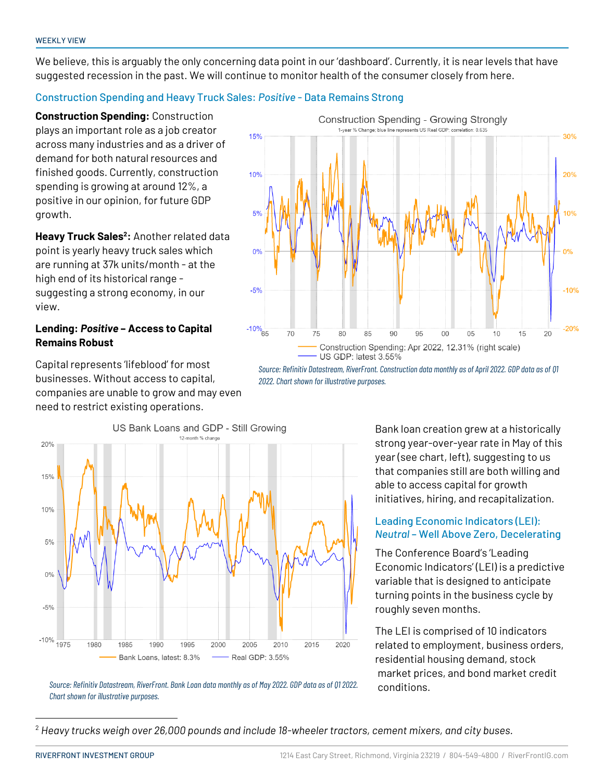We believe, this is arguably the only concerning data point in our 'dashboard'. Currently, it is near levels that have suggested recession in the past. We will continue to monitor health of the consumer closely from here.

#### Construction Spending and Heavy Truck Sales: *Positive* - Data Remains Strong

**Construction Spending:** Construction plays an important role as a job creator across many industries and as a driver of demand for both natural resources and finished goods. Currently, construction spending is growing at around 12%, a positive in our opinion, for future GDP growth.

**Heavy Truck Sales<sup>2</sup> :** Another related data point is yearly heavy truck sales which are running at 37k units/month - at the high end of its historical range suggesting a strong economy, in our view.

#### **Lending:** *Positive* **– Access to Capital Remains Robust**

Capital represents 'lifeblood' for most businesses. Without access to capital, companies are unable to grow and may even need to restrict existing operations.





*Source: Refinitiv Datastream, RiverFront. Construction data monthly as of April 2022. GDP data as of Q1 2022. Chart shown for illustrative purposes.*

> Bank loan creation grew at a historically strong year-over-year rate in May of this year (see chart, left), suggesting to us that companies still are both willing and able to access capital for growth initiatives, hiring, and recapitalization.

#### Leading Economic Indicators (LEI): *Neutral* – Well Above Zero, Decelerating

The Conference Board's 'Leading Economic Indicators' (LEI) is a predictive variable that is designed to anticipate turning points in the business cycle by roughly seven months.

The LEI is comprised of 10 indicators related to employment, business orders, residential housing demand, stock market prices, and bond market credit conditions.

*Source: Refinitiv Datastream, RiverFront. Bank Loan data monthly as of May2022. GDP data as of Q1 2022. Chart shown for illustrative purposes.*

<sup>2</sup> *Heavy trucks weigh over 26,000 pounds and include 18-wheeler tractors, cement mixers, and city buses.*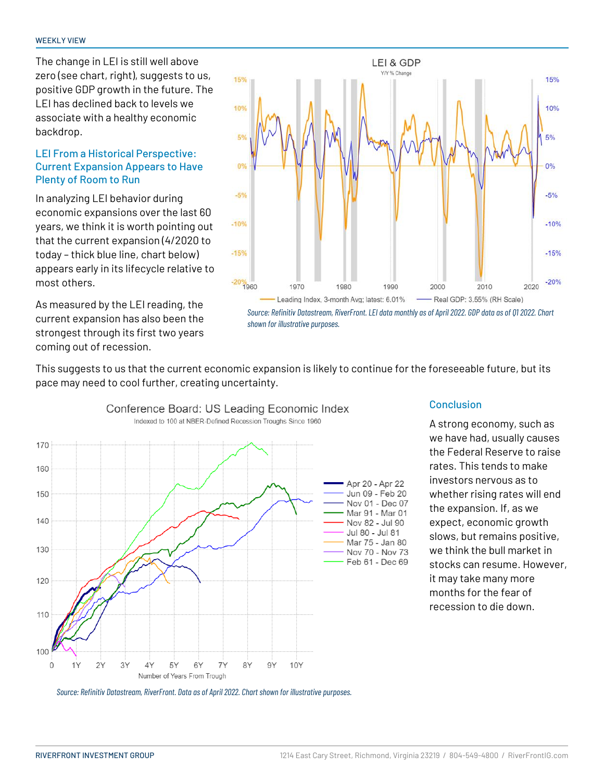The change in LEI is still well above zero (see chart, right), suggests to us, positive GDP growth in the future. The LEI has declined back to levels we associate with a healthy economic backdrop.

#### LEI From a Historical Perspective: Current Expansion Appears to Have Plenty of Room to Run

In analyzing LEI behavior during economic expansions over the last 60 years, we think it is worth pointing out that the current expansion (4/2020 to today – thick blue line, chart below) appears early in its lifecycle relative to most others.

As measured by the LEI reading, the current expansion has also been the strongest through its first two years coming out of recession.





This suggests to us that the current economic expansion is likely to continue for the foreseeable future, but its pace may need to cool further, creating uncertainty.



#### **Conclusion**

A strong economy, such as we have had, usually causes the Federal Reserve to raise rates. This tends to make investors nervous as to whether rising rates will end the expansion. If, as we expect, economic growth slows, but remains positive, we think the bull market in stocks can resume. However, it may take many more months for the fear of recession to die down.

*Source: Refinitiv Datastream, RiverFront. Data as of April 2022. Chart shown for illustrative purposes.*